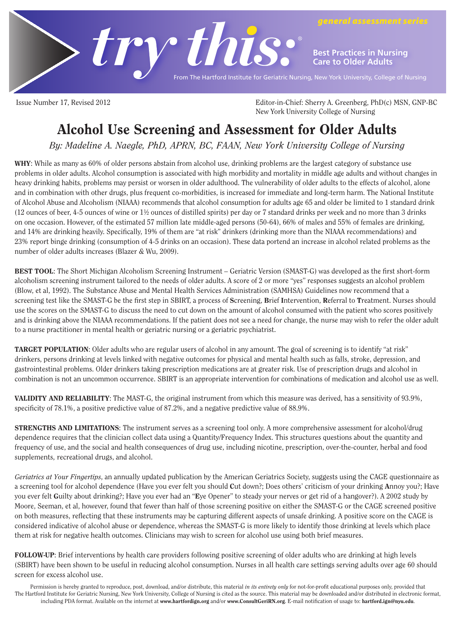

**Best Practices in Nursing Care to Older Adults**

*general assessment series*

From The Hartford Institute for Geriatric Nursing, New York University, College of Nursing

Issue Number 17, Revised 2012 Editor-in-Chief: Sherry A. Greenberg, PhD(c) MSN, GNP-BC New York University College of Nursing

# Alcohol Use Screening and Assessment for Older Adults

By: Madeline A. Naegle, PhD, APRN, BC, FAAN, New York University College of Nursing

WHY: While as many as 60% of older persons abstain from alcohol use, drinking problems are the largest category of substance use problems in older adults. Alcohol consumption is associated with high morbidity and mortality in middle age adults and without changes in heavy drinking habits, problems may persist or worsen in older adulthood. The vulnerability of older adults to the effects of alcohol, alone and in combination with other drugs, plus frequent co-morbidities, is increased for immediate and long-term harm. The National Institute of Alcohol Abuse and Alcoholism (NIAAA) recommends that alcohol consumption for adults age 65 and older be limited to 1 standard drink (12 ounces of beer, 4-5 ounces of wine or 1½ ounces of distilled spirits) per day or 7 standard drinks per week and no more than 3 drinks on one occasion. However, of the estimated 57 million late middle-aged persons (50-64), 66% of males and 55% of females are drinking, and 14% are drinking heavily. Specifically, 19% of them are "at risk" drinkers (drinking more than the NIAAA recommendations) and 23% report binge drinking (consumption of 4-5 drinks on an occasion). These data portend an increase in alcohol related problems as the number of older adults increases (Blazer & Wu, 2009).

BEST TOOL: The Short Michigan Alcoholism Screening Instrument – Geriatric Version (SMAST-G) was developed as the first short-form alcoholism screening instrument tailored to the needs of older adults. A score of 2 or more "yes" responses suggests an alcohol problem (Blow, et al, 1992). The Substance Abuse and Mental Health Services Administration (SAMHSA) Guidelines now recommend that a screening test like the SMAST-G be the first step in SBIRT, a process of Screening, Brief Intervention, Referral to Treatment. Nurses should use the scores on the SMAST-G to discuss the need to cut down on the amount of alcohol consumed with the patient who scores positively and is drinking above the NIAAA recommendations. If the patient does not see a need for change, the nurse may wish to refer the older adult to a nurse practitioner in mental health or geriatric nursing or a geriatric psychiatrist.

TARGET POPULATION: Older adults who are regular users of alcohol in any amount. The goal of screening is to identify "at risk" drinkers, persons drinking at levels linked with negative outcomes for physical and mental health such as falls, stroke, depression, and gastrointestinal problems. Older drinkers taking prescription medications are at greater risk. Use of prescription drugs and alcohol in combination is not an uncommon occurrence. SBIRT is an appropriate intervention for combinations of medication and alcohol use as well.

VALIDITY AND RELIABILITY: The MAST-G, the original instrument from which this measure was derived, has a sensitivity of 93.9%, specificity of 78.1%, a positive predictive value of 87.2%, and a negative predictive value of 88.9%.

STRENGTHS AND LIMITATIONS: The instrument serves as a screening tool only. A more comprehensive assessment for alcohol/drug dependence requires that the clinician collect data using a Quantity/Frequency Index. This structures questions about the quantity and frequency of use, and the social and health consequences of drug use, including nicotine, prescription, over-the-counter, herbal and food supplements, recreational drugs, and alcohol.

Geriatrics at Your Fingertips, an annually updated publication by the American Geriatrics Society, suggests using the CAGE questionnaire as a screening tool for alcohol dependence (Have you ever felt you should Cut down?; Does others' criticism of your drinking Annoy you?; Have you ever felt Guilty about drinking?; Have you ever had an "Eye Opener" to steady your nerves or get rid of a hangover?). A 2002 study by Moore, Seeman, et al, however, found that fewer than half of those screening positive on either the SMAST-G or the CAGE screened positive on both measures, reflecting that these instruments may be capturing different aspects of unsafe drinking. A positive score on the CAGE is considered indicative of alcohol abuse or dependence, whereas the SMAST-G is more likely to identify those drinking at levels which place them at risk for negative health outcomes. Clinicians may wish to screen for alcohol use using both brief measures.

FOLLOW-UP: Brief interventions by health care providers following positive screening of older adults who are drinking at high levels (SBIRT) have been shown to be useful in reducing alcohol consumption. Nurses in all health care settings serving adults over age 60 should screen for excess alcohol use.

Permission is hereby granted to reproduce, post, download, and/or distribute, this material in its entirety only for not-for-profit educational purposes only, provided that The Hartford Institute for Geriatric Nursing, New York University, College of Nursing is cited as the source. This material may be downloaded and/or distributed in electronic format, including PDA format. Available on the internet at www.hartfordign.org and/or www.ConsultGeriRN.org. E-mail notification of usage to: hartford.ign@nyu.edu.